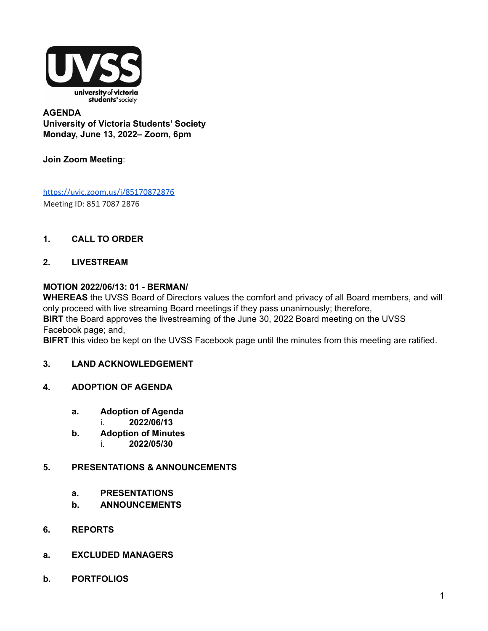

#### **AGENDA University of Victoria Students' Society Monday, June 13, 2022– Zoom, 6pm**

#### **Join Zoom Meeting**:

<https://uvic.zoom.us/j/85170872876> Meeting ID: 851 7087 2876

#### **1. CALL TO ORDER**

#### **2. LIVESTREAM**

#### **MOTION 2022/06/13: 01 - BERMAN/**

**WHEREAS** the UVSS Board of Directors values the comfort and privacy of all Board members, and will only proceed with live streaming Board meetings if they pass unanimously; therefore, **BIRT** the Board approves the livestreaming of the June 30, 2022 Board meeting on the UVSS Facebook page; and,

**BIFRT** this video be kept on the UVSS Facebook page until the minutes from this meeting are ratified.

#### **3. LAND ACKNOWLEDGEMENT**

- **4. ADOPTION OF AGENDA**
	- **a. Adoption of Agenda**
		- i. **2022/06/13**
	- **b. Adoption of Minutes** i. **2022/05/30**

#### **5. PRESENTATIONS & ANNOUNCEMENTS**

- **a. PRESENTATIONS**
- **b. ANNOUNCEMENTS**
- **6. REPORTS**
- **a. EXCLUDED MANAGERS**
- **b. PORTFOLIOS**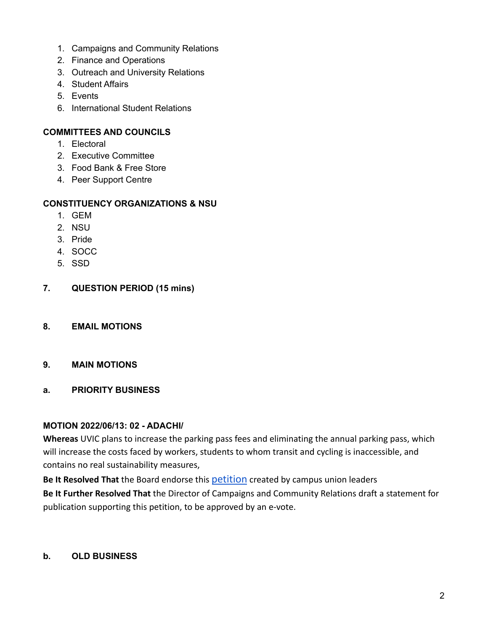- 1. Campaigns and Community Relations
- 2. Finance and Operations
- 3. Outreach and University Relations
- 4. Student Affairs
- 5. Events
- 6. International Student Relations

#### **COMMITTEES AND COUNCILS**

- 1. Electoral
- 2. Executive Committee
- 3. Food Bank & Free Store
- 4. Peer Support Centre

#### **CONSTITUENCY ORGANIZATIONS & NSU**

- 1. GEM
- 2. NSU
- 3. Pride
- 4. SOCC
- 5. SSD
- **7. QUESTION PERIOD (15 mins)**
- **8. EMAIL MOTIONS**
- **9. MAIN MOTIONS**
- **a. PRIORITY BUSINESS**

#### **MOTION 2022/06/13: 02 - ADACHI/**

**Whereas** UVIC plans to increase the parking pass fees and eliminating the annual parking pass, which will increase the costs faced by workers, students to whom transit and cycling is inaccessible, and contains no real sustainability measures,

**Be It Resolved That** the Board endorse this [petition](https://www.change.org/p/uvic-reduce-the-proposed-50-parking-cost-increase?recruiter=24976320&recruited_by_id=38f9e8c6-ab3c-4aa0-bdb0-e59cc0aa0856&utm_source=share_petition&utm_campaign=share_petition&utm_term=petition_dashboard&utm_medium=copylink&utm_content=cl_sharecopy_33500127_en-CA%3A2) created by campus union leaders **Be It Further Resolved That** the Director of Campaigns and Community Relations draft a statement for publication supporting this petition, to be approved by an e-vote.

#### **b. OLD BUSINESS**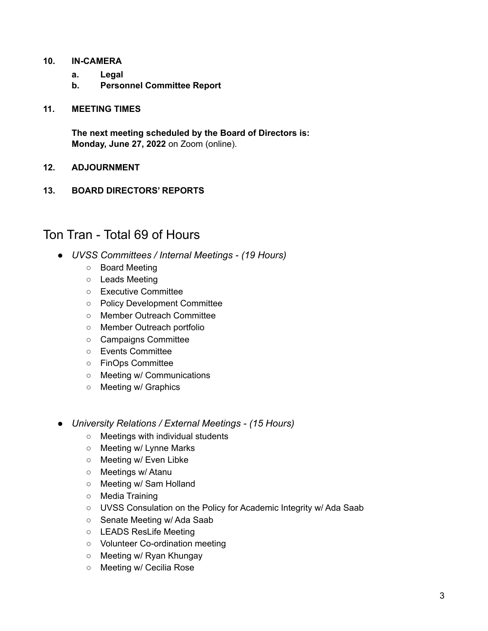#### **10. IN-CAMERA**

- **a. Legal**
- **b. Personnel Committee Report**

#### **11. MEETING TIMES**

**The next meeting scheduled by the Board of Directors is: Monday, June 27, 2022** on Zoom (online).

#### **12. ADJOURNMENT**

**13. BOARD DIRECTORS' REPORTS**

### Ton Tran - Total 69 of Hours

- *● UVSS Committees / Internal Meetings (19 Hours)*
	- Board Meeting
	- Leads Meeting
	- Executive Committee
	- Policy Development Committee
	- Member Outreach Committee
	- Member Outreach portfolio
	- Campaigns Committee
	- Events Committee
	- FinOps Committee
	- Meeting w/ Communications
	- Meeting w/ Graphics
- *● University Relations / External Meetings (15 Hours)*
	- Meetings with individual students
	- Meeting w/ Lynne Marks
	- Meeting w/ Even Libke
	- Meetings w/ Atanu
	- Meeting w/ Sam Holland
	- Media Training
	- UVSS Consulation on the Policy for Academic Integrity w/ Ada Saab
	- Senate Meeting w/ Ada Saab
	- LEADS ResLife Meeting
	- Volunteer Co-ordination meeting
	- Meeting w/ Ryan Khungay
	- Meeting w/ Cecilia Rose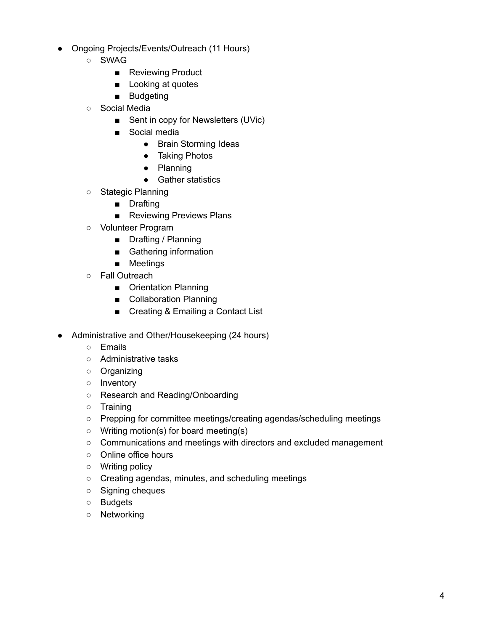- Ongoing Projects/Events/Outreach (11 Hours)
	- SWAG
		- Reviewing Product
		- Looking at quotes
		- Budgeting
	- Social Media
		- Sent in copy for Newsletters (UVic)
		- Social media
			- Brain Storming Ideas
			- Taking Photos
			- Planning
			- Gather statistics
	- Stategic Planning
		- Drafting
		- Reviewing Previews Plans
	- Volunteer Program
		- Drafting / Planning
		- Gathering information
		- Meetings
	- Fall Outreach
		- Orientation Planning
		- Collaboration Planning
		- Creating & Emailing a Contact List
- Administrative and Other/Housekeeping (24 hours)
	- Emails
	- Administrative tasks
	- Organizing
	- Inventory
	- Research and Reading/Onboarding
	- Training
	- Prepping for committee meetings/creating agendas/scheduling meetings
	- Writing motion(s) for board meeting(s)
	- Communications and meetings with directors and excluded management
	- Online office hours
	- Writing policy
	- Creating agendas, minutes, and scheduling meetings
	- Signing cheques
	- Budgets
	- Networking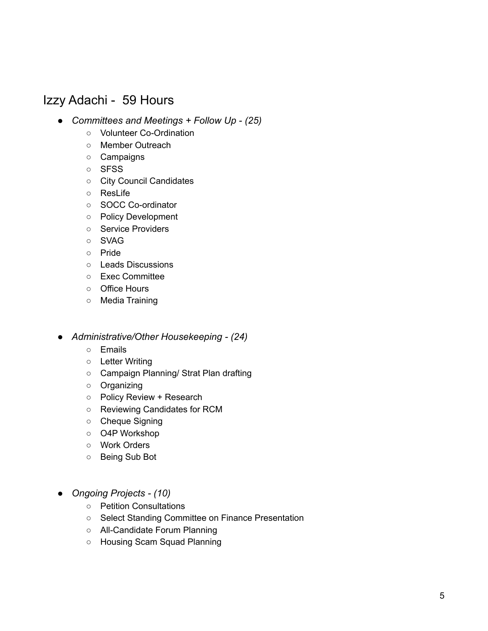## Izzy Adachi - 59 Hours

- *● Committees and Meetings + Follow Up (25)*
	- Volunteer Co-Ordination
	- Member Outreach
	- Campaigns
	- SFSS
	- City Council Candidates
	- ResLife
	- SOCC Co-ordinator
	- Policy Development
	- Service Providers
	- SVAG
	- Pride
	- Leads Discussions
	- Exec Committee
	- Office Hours
	- Media Training
- *● Administrative/Other Housekeeping (24)*
	- Emails
	- Letter Writing
	- Campaign Planning/ Strat Plan drafting
	- Organizing
	- Policy Review + Research
	- Reviewing Candidates for RCM
	- Cheque Signing
	- O4P Workshop
	- Work Orders
	- Being Sub Bot
- *● Ongoing Projects (10)*
	- Petition Consultations
	- Select Standing Committee on Finance Presentation
	- All-Candidate Forum Planning
	- Housing Scam Squad Planning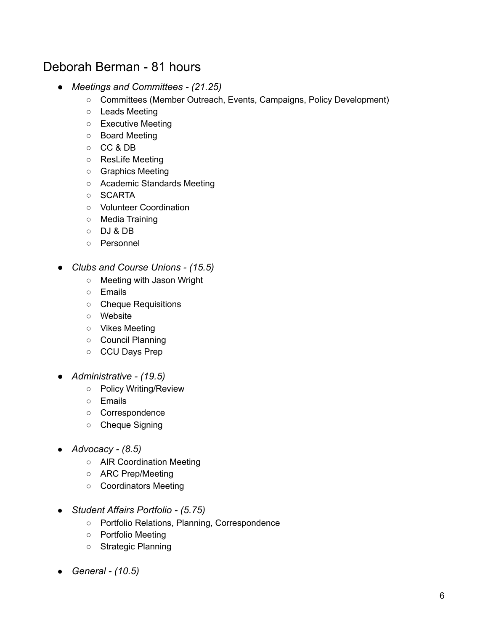## Deborah Berman - 81 hours

- *● Meetings and Committees (21.25)*
	- Committees (Member Outreach, Events, Campaigns, Policy Development)
	- Leads Meeting
	- Executive Meeting
	- Board Meeting
	- CC & DB
	- ResLife Meeting
	- Graphics Meeting
	- Academic Standards Meeting
	- SCARTA
	- Volunteer Coordination
	- Media Training
	- DJ & DB
	- Personnel
- *● Clubs and Course Unions (15.5)*
	- Meeting with Jason Wright
	- Emails
	- Cheque Requisitions
	- Website
	- Vikes Meeting
	- Council Planning
	- CCU Days Prep
- *● Administrative (19.5)*
	- Policy Writing/Review
	- Emails
	- Correspondence
	- Cheque Signing
- *● Advocacy (8.5)*
	- AIR Coordination Meeting
	- ARC Prep/Meeting
	- Coordinators Meeting
- *● Student Affairs Portfolio (5.75)*
	- Portfolio Relations, Planning, Correspondence
	- Portfolio Meeting
	- Strategic Planning
- *● General (10.5)*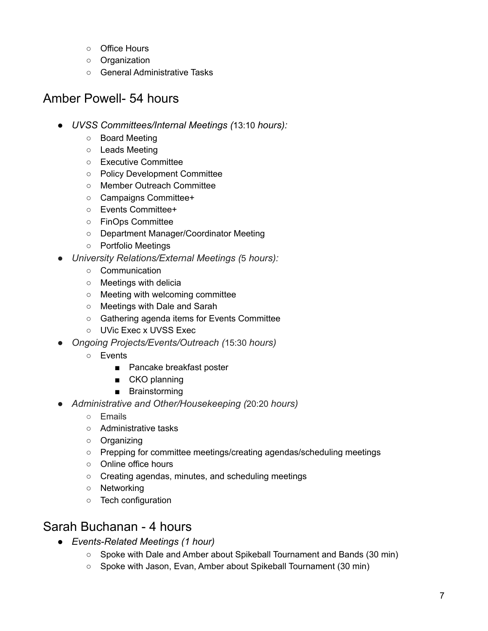- Office Hours
- Organization
- General Administrative Tasks

# Amber Powell- 54 hours

- *● UVSS Committees/Internal Meetings (*13:10 *hours):*
	- Board Meeting
	- Leads Meeting
	- Executive Committee
	- Policy Development Committee
	- Member Outreach Committee
	- Campaigns Committee+
	- Events Committee+
	- FinOps Committee
	- Department Manager/Coordinator Meeting
	- Portfolio Meetings
- *● University Relations/External Meetings (*5 *hours):*
	- Communication
	- Meetings with delicia
	- Meeting with welcoming committee
	- Meetings with Dale and Sarah
	- Gathering agenda items for Events Committee
	- UVic Exec x UVSS Exec
- *● Ongoing Projects/Events/Outreach (*15:30 *hours)*
	- Events
		- Pancake breakfast poster
		- CKO planning
		- Brainstorming
- *● Administrative and Other/Housekeeping (*20:20 *hours)*
	- Emails
	- Administrative tasks
	- Organizing
	- Prepping for committee meetings/creating agendas/scheduling meetings
	- Online office hours
	- Creating agendas, minutes, and scheduling meetings
	- Networking
	- Tech configuration

## Sarah Buchanan - 4 hours

- *● Events-Related Meetings (1 hour)*
	- Spoke with Dale and Amber about Spikeball Tournament and Bands (30 min)
	- Spoke with Jason, Evan, Amber about Spikeball Tournament (30 min)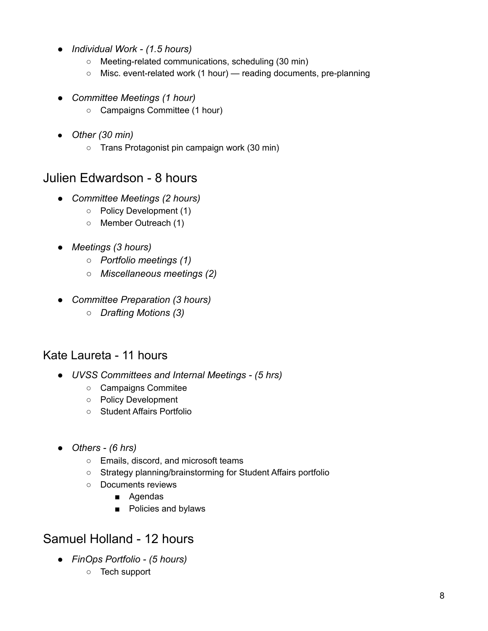- *● Individual Work (1.5 hours)*
	- Meeting-related communications, scheduling (30 min)
	- Misc. event-related work (1 hour) reading documents, pre-planning
- *● Committee Meetings (1 hour)*
	- Campaigns Committee (1 hour)
- *● Other (30 min)*
	- Trans Protagonist pin campaign work (30 min)

### Julien Edwardson - 8 hours

- *● Committee Meetings (2 hours)*
	- Policy Development (1)
	- Member Outreach (1)
- *● Meetings (3 hours)*
	- *○ Portfolio meetings (1)*
	- *○ Miscellaneous meetings (2)*
- *● Committee Preparation (3 hours)*
	- *○ Drafting Motions (3)*

### Kate Laureta - 11 hours

- *● UVSS Committees and Internal Meetings (5 hrs)*
	- Campaigns Commitee
	- Policy Development
	- Student Affairs Portfolio
- *● Others (6 hrs)*
	- Emails, discord, and microsoft teams
	- Strategy planning/brainstorming for Student Affairs portfolio
	- Documents reviews
		- Agendas
		- Policies and bylaws

# Samuel Holland - 12 hours

- *● FinOps Portfolio (5 hours)*
	- Tech support